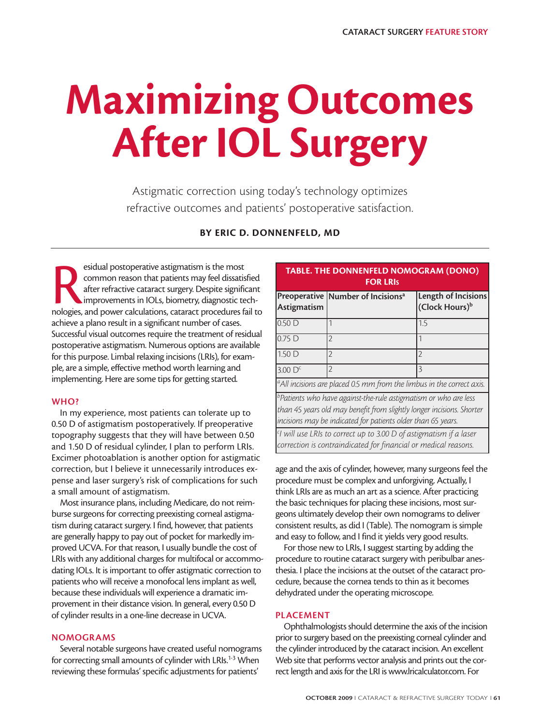# **Maximizing Outcomes After IOL Surgery**

Astigmatic correction using today's technology optimizes refractive outcomes and patients' postoperative satisfaction.

# **BY ERIC D. DONNENFELD, MD**

esidual postoperative astigmatism is the most<br>common reason that patients may feel dissatisfied<br>after refractive cataract surgery. Despite significant<br>improvements in IOLs, biometry, diagnostic tech-<br>nologies, and power ca esidual postoperative astigmatism is the most common reason that patients may feel dissatisfied after refractive cataract surgery. Despite significant improvements in IOLs, biometry, diagnostic techachieve a plano result in a significant number of cases. Successful visual outcomes require the treatment of residual postoperative astigmatism. Numerous options are available for this purpose. Limbal relaxing incisions (LRIs), for example, are a simple, effective method worth learning and implementing. Here are some tips for getting started.

### **WHO?**

In my experience, most patients can tolerate up to 0.50 D of astigmatism postoperatively. If preoperative topography suggests that they will have between 0.50 and 1.50 D of residual cylinder, I plan to perform LRIs. Excimer photoablation is another option for astigmatic correction, but I believe it unnecessarily introduces expense and laser surgery's risk of complications for such a small amount of astigmatism.

Most insurance plans, including Medicare, do not reimburse surgeons for correcting preexisting corneal astigmatism during cataract surgery. I find, however, that patients are generally happy to pay out of pocket for markedly improved UCVA. For that reason, I usually bundle the cost of LRIs with any additional charges for multifocal or accommodating IOLs. It is important to offer astigmatic correction to patients who will receive a monofocal lens implant as well, because these individuals will experience a dramatic improvement in their distance vision. In general, every 0.50 D of cylinder results in a one-line decrease in UCVA.

#### **NOMOGRAMS**

Several notable surgeons have created useful nomograms for correcting small amounts of cylinder with LRIs.<sup>1-3</sup> When reviewing these formulas' specific adjustments for patients'

| <b>TABLE. THE DONNENFELD NOMOGRAM (DONO)</b><br><b>FOR LRIS</b>                                                                                                                                                      |                                                 |                                                   |
|----------------------------------------------------------------------------------------------------------------------------------------------------------------------------------------------------------------------|-------------------------------------------------|---------------------------------------------------|
| Astigmatism                                                                                                                                                                                                          | Preoperative   Number of Incisions <sup>a</sup> | Length of Incisions<br>(Clock Hours) <sup>b</sup> |
| 0.50 <sub>D</sub>                                                                                                                                                                                                    |                                                 | 1.5                                               |
| 0.75D                                                                                                                                                                                                                | 2                                               |                                                   |
| 1.50 <sub>D</sub>                                                                                                                                                                                                    | 2                                               | 2                                                 |
| 3.00 <sup>C</sup>                                                                                                                                                                                                    | 2                                               | 3                                                 |
| <sup>a</sup> All incisions are placed 0.5 mm from the limbus in the correct axis.                                                                                                                                    |                                                 |                                                   |
| <sup>b</sup> Patients who have against-the-rule astigmatism or who are less<br>than 45 years old may benefit from slightly longer incisions. Shorter<br>incisions may be indicated for patients older than 65 years. |                                                 |                                                   |
| $\vert$ <sup>c</sup> l will use LRIs to correct up to 3.00 D of astigmatism if a laser<br>correction is contraindicated for financial or medical reasons.                                                            |                                                 |                                                   |

age and the axis of cylinder, however, many surgeons feel the procedure must be complex and unforgiving. Actually, I think LRIs are as much an art as a science. After practicing the basic techniques for placing these incisions, most surgeons ultimately develop their own nomograms to deliver consistent results, as did I (Table). The nomogram is simple and easy to follow, and I find it yields very good results.

For those new to LRIs, I suggest starting by adding the procedure to routine cataract surgery with peribulbar anesthesia. I place the incisions at the outset of the cataract procedure, because the cornea tends to thin as it becomes dehydrated under the operating microscope.

#### **PLACEMENT**

Ophthalmologists should determine the axis of the incision prior to surgery based on the preexisting corneal cylinder and the cylinder introduced by the cataract incision. An excellent Web site that performs vector analysis and prints out the correct length and axis for the LRI is www.lricalculator.com. For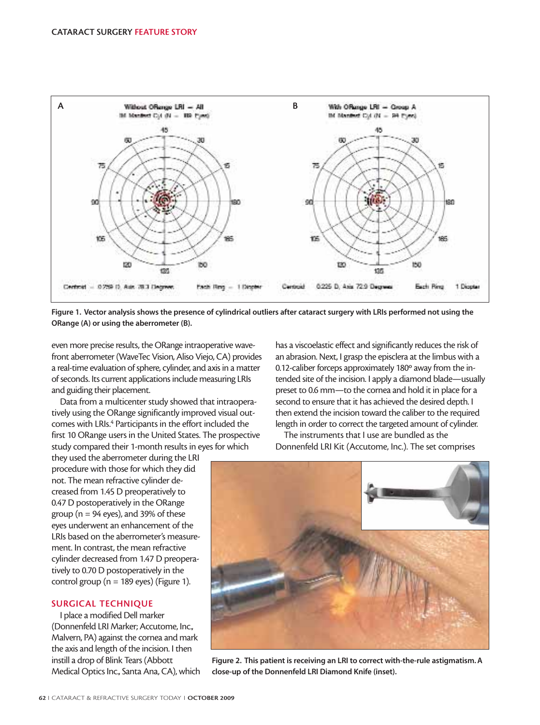

**Figure 1. Vector analysis shows the presence of cylindrical outliers after cataract surgery with LRIs performed not using the ORange (A) or using the aberrometer (B).**

even more precise results, the ORange intraoperative wavefront aberrometer (WaveTec Vision, Aliso Viejo, CA) provides a real-time evaluation of sphere, cylinder, and axis in a matter of seconds. Its current applications include measuring LRIs and guiding their placement.

Data from a multicenter study showed that intraoperatively using the ORange significantly improved visual outcomes with LRIs.<sup>4</sup> Participants in the effort included the first 10 ORange users in the United States. The prospective study compared their 1-month results in eyes for which

they used the aberrometer during the LRI procedure with those for which they did not. The mean refractive cylinder decreased from 1.45 D preoperatively to 0.47 D postoperatively in the ORange group ( $n = 94$  eyes), and 39% of these eyes underwent an enhancement of the LRIs based on the aberrometer's measurement. In contrast, the mean refractive cylinder decreased from 1.47 D preoperatively to 0.70 D postoperatively in the control group ( $n = 189$  eyes) (Figure 1).

## **SURGICAL TECHNIQUE**

I place a modified Dell marker (Donnenfeld LRI Marker; Accutome, Inc., Malvern, PA) against the cornea and mark the axis and length of the incision. I then instill a drop of Blink Tears (Abbott Medical Optics Inc., Santa Ana, CA), which has a viscoelastic effect and significantly reduces the risk of an abrasion. Next, I grasp the episclera at the limbus with a 0.12-caliber forceps approximately 180º away from the intended site of the incision. I apply a diamond blade—usually preset to 0.6 mm—to the cornea and hold it in place for a second to ensure that it has achieved the desired depth. I then extend the incision toward the caliber to the required length in order to correct the targeted amount of cylinder.

The instruments that I use are bundled as the Donnenfeld LRI Kit (Accutome, Inc.). The set comprises



**Figure 2. This patient is receiving an LRI to correct with-the-rule astigmatism. A close-up of the Donnenfeld LRI Diamond Knife (inset).**